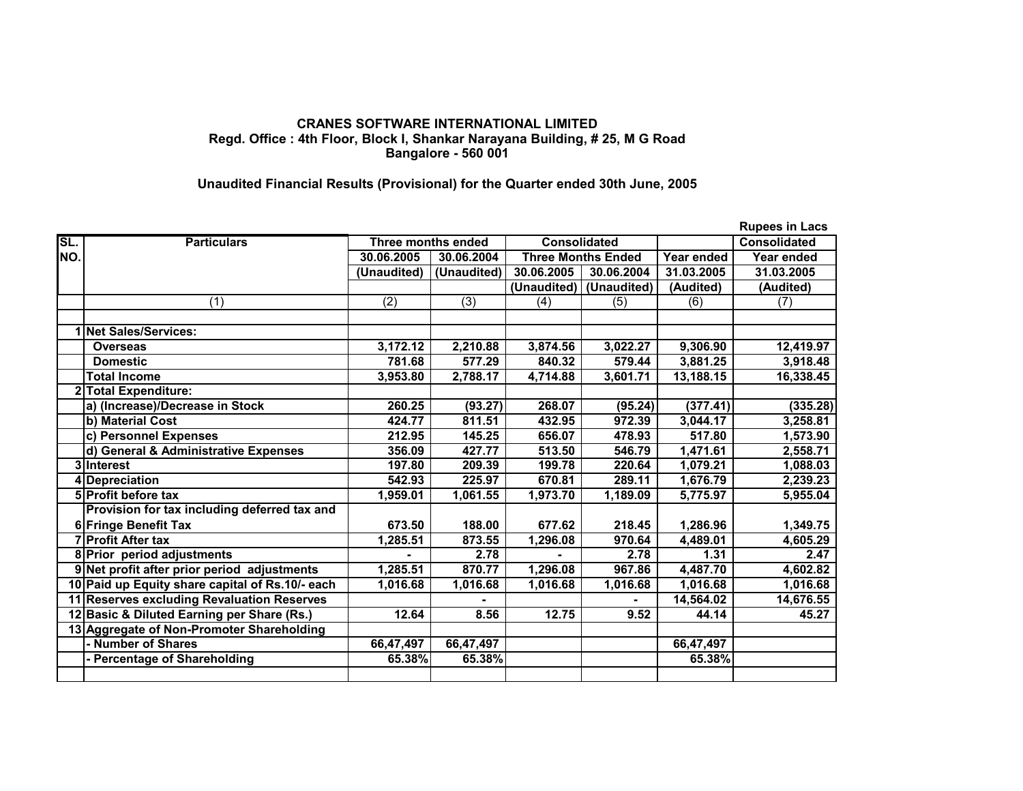## **CRANES SOFTWARE INTERNATIONAL LIMITED Regd. Office : 4th Floor, Block I, Shankar Narayana Building, # 25, M G Road Bangalore - 560 001**

## **Unaudited Financial Results (Provisional) for the Quarter ended 30th June, 2005**

|     |                                                 |                                           |             |                           |                         |            | <b>Rupees in Lacs</b> |
|-----|-------------------------------------------------|-------------------------------------------|-------------|---------------------------|-------------------------|------------|-----------------------|
| SL. | <b>Particulars</b>                              | <b>Consolidated</b><br>Three months ended |             |                           | <b>Consolidated</b>     |            |                       |
| NO. |                                                 | 30.06.2005                                | 30.06.2004  | <b>Three Months Ended</b> |                         | Year ended | Year ended            |
|     |                                                 | (Unaudited)                               | (Unaudited) | 30.06.2005                | 30.06.2004              | 31.03.2005 | 31.03.2005            |
|     |                                                 |                                           |             |                           | (Unaudited) (Unaudited) | (Audited)  | (Audited)             |
|     | (1)                                             | (2)                                       | (3)         | (4)                       | (5)                     | (6)        | (7)                   |
|     |                                                 |                                           |             |                           |                         |            |                       |
|     | 1 Net Sales/Services:                           |                                           |             |                           |                         |            |                       |
|     | <b>Overseas</b>                                 | 3,172.12                                  | 2,210.88    | 3,874.56                  | 3,022.27                | 9,306.90   | 12,419.97             |
|     | <b>Domestic</b>                                 | 781.68                                    | 577.29      | 840.32                    | 579.44                  | 3,881.25   | 3,918.48              |
|     | <b>Total Income</b>                             | 3,953.80                                  | 2,788.17    | 4,714.88                  | 3,601.71                | 13,188.15  | 16,338.45             |
|     | <b>Total Expenditure:</b>                       |                                           |             |                           |                         |            |                       |
|     | a) (Increase)/Decrease in Stock                 | 260.25                                    | (93.27)     | 268.07                    | (95.24)                 | (377.41)   | (335.28)              |
|     | b) Material Cost                                | 424.77                                    | 811.51      | 432.95                    | 972.39                  | 3,044.17   | 3,258.81              |
|     | c) Personnel Expenses                           | 212.95                                    | 145.25      | 656.07                    | 478.93                  | 517.80     | 1,573.90              |
|     | d) General & Administrative Expenses            | 356.09                                    | 427.77      | 513.50                    | 546.79                  | 1,471.61   | 2,558.71              |
|     | 3 Interest                                      | 197.80                                    | 209.39      | 199.78                    | 220.64                  | 1,079.21   | 1,088.03              |
|     | 4 Depreciation                                  | 542.93                                    | 225.97      | 670.81                    | 289.11                  | 1,676.79   | 2,239.23              |
|     | 5 Profit before tax                             | 1,959.01                                  | 1,061.55    | 1,973.70                  | 1,189.09                | 5,775.97   | 5,955.04              |
|     | Provision for tax including deferred tax and    |                                           |             |                           |                         |            |                       |
|     | 6 Fringe Benefit Tax                            | 673.50                                    | 188.00      | 677.62                    | 218.45                  | 1,286.96   | 1,349.75              |
|     | <b>7 Profit After tax</b>                       | 1,285.51                                  | 873.55      | 1,296.08                  | 970.64                  | 4,489.01   | 4,605.29              |
|     | 8 Prior period adjustments                      |                                           | 2.78        |                           | 2.78                    | 1.31       | 2.47                  |
|     | 9 Net profit after prior period adjustments     | 1,285.51                                  | 870.77      | 1,296.08                  | 967.86                  | 4,487.70   | 4,602.82              |
|     | 10 Paid up Equity share capital of Rs.10/- each | 1,016.68                                  | 1,016.68    | 1,016.68                  | 1,016.68                | 1,016.68   | 1,016.68              |
|     | 11 Reserves excluding Revaluation Reserves      |                                           |             |                           |                         | 14,564.02  | 14,676.55             |
|     | 12 Basic & Diluted Earning per Share (Rs.)      | 12.64                                     | 8.56        | 12.75                     | 9.52                    | 44.14      | 45.27                 |
|     | 13 Aggregate of Non-Promoter Shareholding       |                                           |             |                           |                         |            |                       |
|     | - Number of Shares                              | 66,47,497                                 | 66,47,497   |                           |                         | 66,47,497  |                       |
|     | <b>Percentage of Shareholding</b>               | 65.38%                                    | 65.38%      |                           |                         | 65.38%     |                       |
|     |                                                 |                                           |             |                           |                         |            |                       |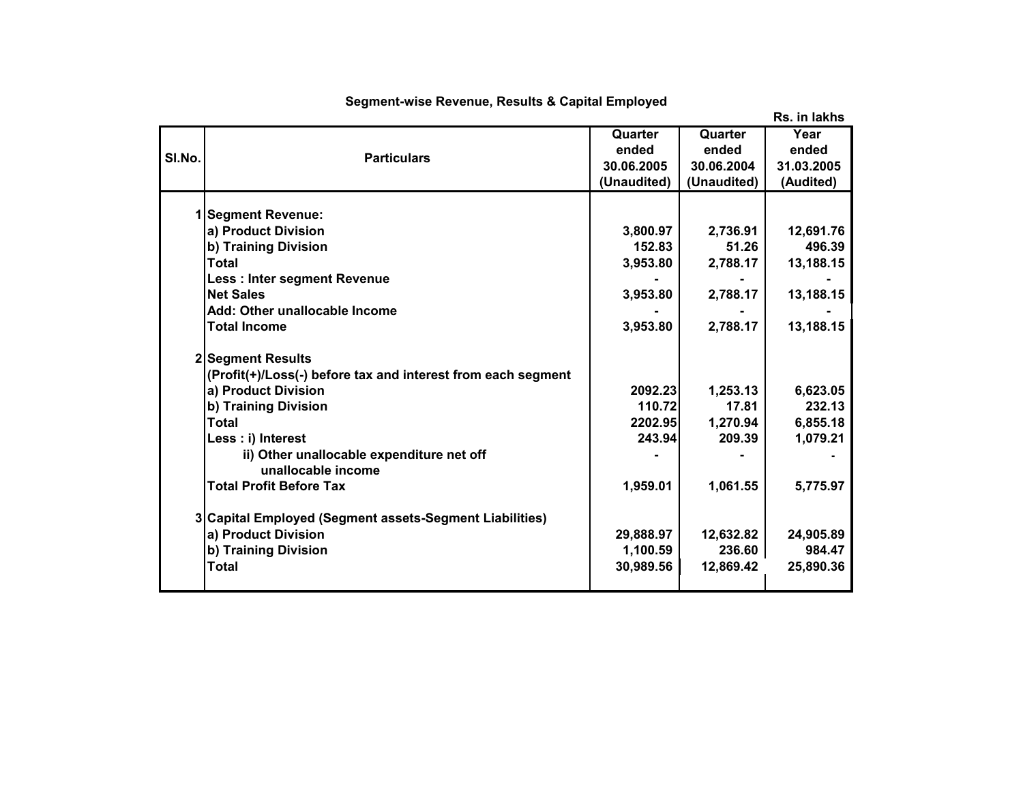|        |                                                              |             |             | Rs. in lakhs |
|--------|--------------------------------------------------------------|-------------|-------------|--------------|
|        |                                                              | Quarter     | Quarter     | Year         |
| SI.No. | <b>Particulars</b>                                           | ended       | ended       | ended        |
|        |                                                              | 30.06.2005  | 30.06.2004  | 31.03.2005   |
|        |                                                              | (Unaudited) | (Unaudited) | (Audited)    |
|        |                                                              |             |             |              |
|        | 1 Segment Revenue:                                           |             |             |              |
|        | a) Product Division                                          | 3,800.97    | 2,736.91    | 12,691.76    |
|        | b) Training Division                                         | 152.83      | 51.26       | 496.39       |
|        | <b>Total</b>                                                 | 3,953.80    | 2,788.17    | 13,188.15    |
|        | <b>Less: Inter segment Revenue</b>                           |             |             |              |
|        | <b>Net Sales</b>                                             | 3,953.80    | 2,788.17    | 13,188.15    |
|        | Add: Other unallocable Income                                |             |             |              |
|        | <b>Total Income</b>                                          | 3,953.80    | 2,788.17    | 13,188.15    |
|        | 2 Segment Results                                            |             |             |              |
|        | (Profit(+)/Loss(-) before tax and interest from each segment |             |             |              |
|        | a) Product Division                                          | 2092.23     | 1,253.13    | 6,623.05     |
|        | b) Training Division                                         | 110.72      | 17.81       | 232.13       |
|        | <b>Total</b>                                                 | 2202.95     | 1,270.94    | 6,855.18     |
|        | Less : i) Interest                                           | 243.94      | 209.39      | 1,079.21     |
|        | ii) Other unallocable expenditure net off                    |             |             |              |
|        | unallocable income                                           |             |             |              |
|        | <b>Total Profit Before Tax</b>                               | 1,959.01    | 1,061.55    | 5,775.97     |
|        | 3 Capital Employed (Segment assets-Segment Liabilities)      |             |             |              |
|        | a) Product Division                                          | 29,888.97   | 12,632.82   | 24,905.89    |
|        | b) Training Division                                         | 1,100.59    | 236.60      | 984.47       |
|        | <b>Total</b>                                                 | 30,989.56   | 12,869.42   | 25,890.36    |
|        |                                                              |             |             |              |

## **Segment-wise Revenue, Results & Capital Employed**